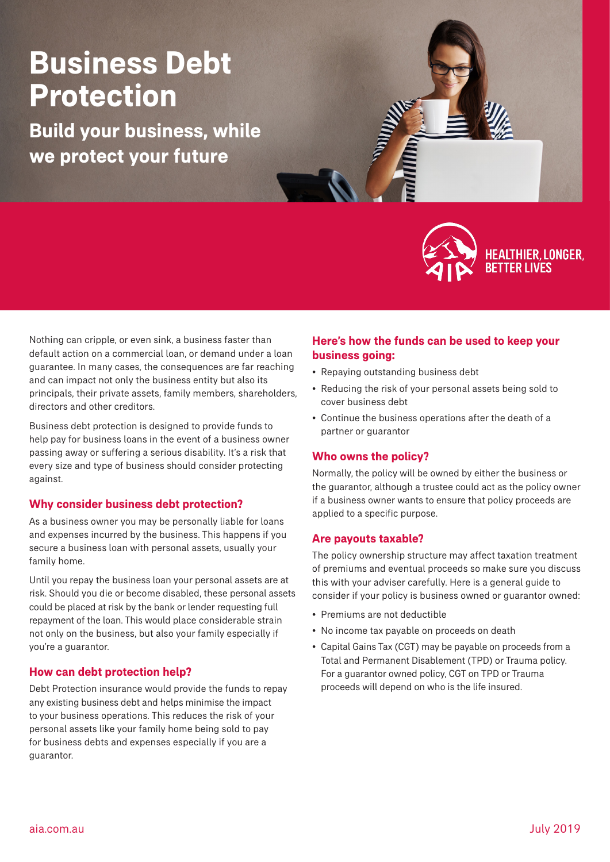# **Business Debt Protection**

**Build your business, while we protect your future**



Nothing can cripple, or even sink, a business faster than default action on a commercial loan, or demand under a loan guarantee. In many cases, the consequences are far reaching and can impact not only the business entity but also its principals, their private assets, family members, shareholders, directors and other creditors.

Business debt protection is designed to provide funds to help pay for business loans in the event of a business owner passing away or suffering a serious disability. It's a risk that every size and type of business should consider protecting against.

# **Why consider business debt protection?**

As a business owner you may be personally liable for loans and expenses incurred by the business. This happens if you secure a business loan with personal assets, usually your family home.

Until you repay the business loan your personal assets are at risk. Should you die or become disabled, these personal assets could be placed at risk by the bank or lender requesting full repayment of the loan. This would place considerable strain not only on the business, but also your family especially if you're a guarantor.

# **How can debt protection help?**

Debt Protection insurance would provide the funds to repay any existing business debt and helps minimise the impact to your business operations. This reduces the risk of your personal assets like your family home being sold to pay for business debts and expenses especially if you are a guarantor.

### **Here's how the funds can be used to keep your business going:**

- Repaying outstanding business debt
- Reducing the risk of your personal assets being sold to cover business debt
- Continue the business operations after the death of a partner or guarantor

# **Who owns the policy?**

Normally, the policy will be owned by either the business or the guarantor, although a trustee could act as the policy owner if a business owner wants to ensure that policy proceeds are applied to a specific purpose.

#### **Are payouts taxable?**

The policy ownership structure may affect taxation treatment of premiums and eventual proceeds so make sure you discuss this with your adviser carefully. Here is a general guide to consider if your policy is business owned or guarantor owned:

- Premiums are not deductible
- No income tax payable on proceeds on death
- Capital Gains Tax (CGT) may be payable on proceeds from a Total and Permanent Disablement (TPD) or Trauma policy. For a guarantor owned policy, CGT on TPD or Trauma proceeds will depend on who is the life insured.